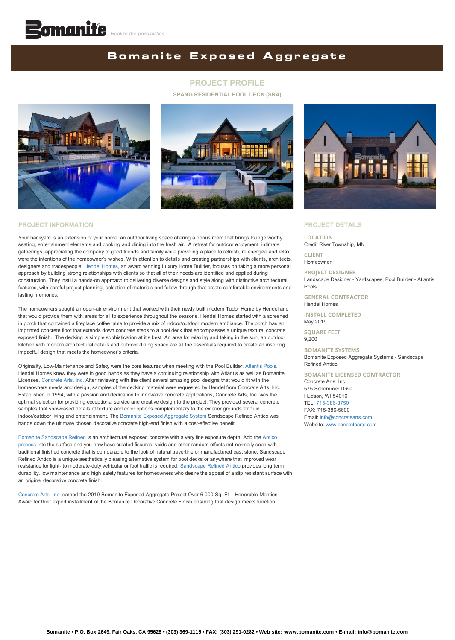# **Bomanite Exposed Aggregate**

## **PROJECT PROFILE**

**SPANG RESIDENTIAL POOL DECK (SRA)**





## **PROJECT INFORMATION**

Your backyard is an extension of your home, an outdoor living space offering a bonus room that brings lounge worthy seating, entertainment elements and cooking and dining into the fresh air. A retreat for outdoor enjoyment, intimate gatherings, appreciating the company of good friends and family while providing a place to refresh, re energize and relax were the intentions of the homeowner's wishes. With attention to details and creating partnerships with clients, architects, designers and tradespeople, [Hendel Homes,](https://hendelhomes.com/) an award winning Luxury Home Builder, focuses on taking a more personal approach by building strong relationships with clients so that all of their needs are identified and applied during construction. They instill a hands-on approach to delivering diverse designs and style along with distinctive architectural features, with careful project planning, selection of materials and follow through that create comfortable environments and lasting memories.

The homeowners sought an open-air environment that worked with their newly built modern Tudor Home by Hendel and that would provide them with areas for all to experience throughout the seasons. Hendel Homes started with a screened in porch that contained a fireplace coffee table to provide a mix of indoor/outdoor modern ambiance. The porch has an imprinted concrete floor that extends down concrete steps to a pool deck that encompasses a unique textural concrete exposed finish. The decking is simple sophistication at it's best. An area for relaxing and taking in the sun, an outdoor kitchen with modern architectural details and outdoor dining space are all the essentials required to create an inspiring impactful design that meets the homeowner's criteria.

Originality, Low-Maintenance and Safety were the core features when meeting with the Pool Builder, [Atlantis Pools.](https://www.atlantispoolsinc.com/) Hendel Homes knew they were in good hands as they have a continuing relationship with Atlantis as well as Bomanite Licensee, [Concrete Arts, Inc.](http://www.concretearts.com/) After reviewing with the client several amazing pool designs that would fit with the homeowners needs and design, samples of the decking material were requested by Hendel from Concrete Arts, Inc. Established in 1994, with a passion and dedication to innovative concrete applications, Concrete Arts, Inc. was the optimal selection for providing exceptional service and creative design to the project. They provided several concrete samples that showcased details of texture and color options complementary to the exterior grounds for fluid indoor/outdoor living and entertainment. The [Bomanite Exposed Aggregate System](https://bomanite.com/system_parent/exposed-aggregate-systems/) Sandscape Refined Antico was hands down the ultimate chosen decorative concrete high-end finish with a cost-effective benefit.

[Bomanite Sandscape Refined is an architectural exposed concrete with a very fine exposure depth. Add the Antico](https://bomanite.com/wp-content/uploads/2019/05/Bomanite-Antico-Process-System-Guideline.pdf) process into the surface and you now have created fissures, voids and other random effects not normally seen with traditional finished concrete that is comparable to the look of natural travertine or manufactured cast stone. Sandscape Refined Antico is a unique aesthetically pleasing alternative system for pool decks or anywhere that improved wear resistance for light- to moderate-duty vehicular or foot traffic is required. [Sandscape Refined Antico](https://bomanite.com/wp-content/uploads/2020/03/Bomanite_Antico_Process_Flyer_HR.pdf) provides long term durability, low maintenance and high safety features for homeowners who desire the appeal of a slip resistant surface with an original decorative concrete finish.

[Concrete Arts, Inc.](http://www.concretearts.com/) earned the 2019 Bomanite Exposed Aggregate Project Over 6,000 Sq. Ft – Honorable Mention Award for their expert installment of the Bomanite Decorative Concrete Finish ensuring that design meets function.



#### **PROJECT DETAILS**

#### **LOCATION** Credit River Township, MN

**CLIENT** Homeowner

#### **PROJECT DESIGNER**

Landscape Designer - Yardscapes; Pool Builder - Atlantis Pools

**GENERAL CONTRACTOR** Hendel Homes

#### **INSTALL COMPLETED** May 2019

**SQUARE FEET** 9,200

#### **BOMANITE SYSTEMS**

Bomanite Exposed Aggregate Systems - Sandscape Refined Antico

### **BOMANITE LICENSED CONTRACTOR**

Concrete Arts, Inc. 575 Schommer Drive Hudson, WI 54016 TEL: [715-386-8750](tel:1-715-386-8750) FAX: 715-386-5600 Email: [info@concretearts.com](mailto:info@concretearts.com?cc=info@bomanite.com&subject=I%20Need%20More%20Info%20About%20Project%20Profile:%20Spang%20Residence) Website: [www.concretearts.com](http://www.concretearts.com/)